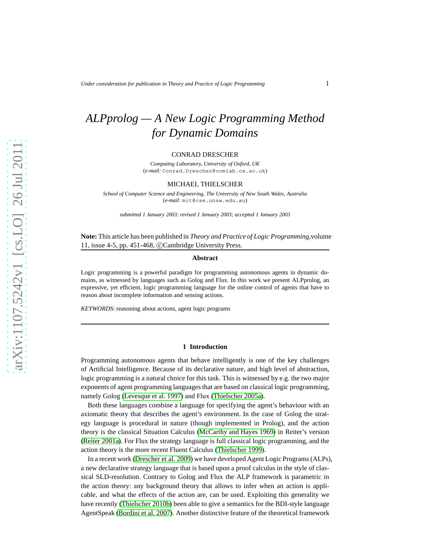# *ALPprolog — A New Logic Programming Method for Dynamic Domains*

#### CONRAD DRESCHER

*Computing Laboratory, University of Oxford, UK* (*e-mail:* Conrad.Drescher@comlab.ox.ac.uk)

#### MICHAEL THIELSCHER

*School of Computer Science and Engineering, The University of New South Wales, Australia* (*e-mail:* mit@cse.unsw.edu.au)

*submitted 1 January 2003; revised 1 January 2003; accepted 1 January 2003*

**Note:** This article has been published in *Theory and Practice of Logic Programming*,volume 11, issue 4-5, pp. 451-468, ©Cambridge University Press.

#### **Abstract**

Logic programming is a powerful paradigm for programming autonomous agents in dynamic domains, as witnessed by languages such as Golog and Flux. In this work we present ALPprolog, an expressive, yet efficient, logic programming language for the online control of agents that have to reason about incomplete information and sensing actions.

*KEYWORDS*: reasoning about actions, agent logic programs

#### **1 Introduction**

Programming autonomous agents that behave intelligently is one of the key challenges of Artificial Intelligence. Because of its declarative nature, and high level of abstraction, logic programming is a natural choice for this task. This is witnessed by e.g. the two major exponents of agent programming languages that are based on classical logic programming, namely Golog [\(Levesque et al. 1997\)](#page-15-0) and Flux [\(Thielscher 2005a\)](#page-15-1).

Both these languages combine a language for specifying the agent's behaviour with an axiomatic theory that describes the agent's environment. In the case of Golog the strategy language is procedural in nature (though implemented in Prolog), and the action theory is the classical Situation Calculus [\(McCarthy and Hayes 1969\)](#page-15-2) in Reiter's version [\(Reiter 2001a\)](#page-15-3). For Flux the strategy language is full classical logic programming, and the action theory is the more recent Fluent Calculus [\(Thielscher 1999\)](#page-15-4).

In a recent work [\(Drescher et al. 2009\)](#page-15-5) we have developed Agent Logic Programs (ALPs), a new declarative strategy language that is based upon a proof calculus in the style of classical SLD-resolution. Contrary to Golog and Flux the ALP framework is parametric in the action theory: any background theory that allows to infer when an action is applicable, and what the effects of the action are, can be used. Exploiting this generality we have recently [\(Thielscher 2010b\)](#page-15-6) been able to give a semantics for the BDI-style language AgentSpeak [\(Bordini et al. 2007\)](#page-14-0). Another distinctive feature of the theoretical framework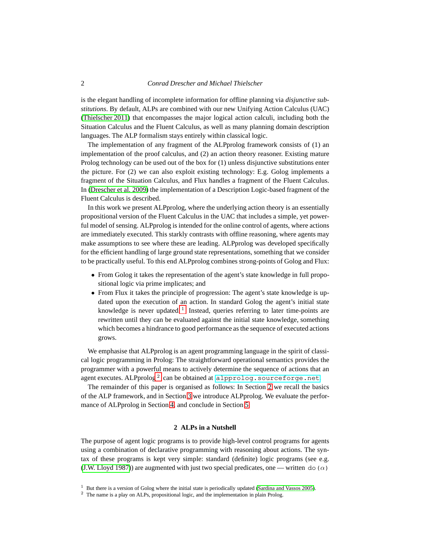is the elegant handling of incomplete information for offline planning via *disjunctive substitutions*. By default, ALPs are combined with our new Unifying Action Calculus (UAC) [\(Thielscher 2011\)](#page-15-7) that encompasses the major logical action calculi, including both the Situation Calculus and the Fluent Calculus, as well as many planning domain description languages. The ALP formalism stays entirely within classical logic.

The implementation of any fragment of the ALPprolog framework consists of (1) an implementation of the proof calculus, and (2) an action theory reasoner. Existing mature Prolog technology can be used out of the box for (1) unless disjunctive substitutions enter the picture. For (2) we can also exploit existing technology: E.g. Golog implements a fragment of the Situation Calculus, and Flux handles a fragment of the Fluent Calculus. In [\(Drescher et al. 2009\)](#page-14-1) the implementation of a Description Logic-based fragment of the Fluent Calculus is described.

In this work we present ALPprolog, where the underlying action theory is an essentially propositional version of the Fluent Calculus in the UAC that includes a simple, yet powerful model of sensing. ALPprolog is intended for the online control of agents, where actions are immediately executed. This starkly contrasts with offline reasoning, where agents may make assumptions to see where these are leading. ALPprolog was developed specifically for the efficient handling of large ground state representations, something that we consider to be practically useful. To this end ALPprolog combines strong-points of Golog and Flux:

- From Golog it takes the representation of the agent's state knowledge in full propositional logic via prime implicates; and
- From Flux it takes the principle of progression: The agent's state knowledge is updated upon the execution of an action. In standard Golog the agent's initial state knowledge is never updated.<sup>[1](#page-1-0)</sup> Instead, queries referring to later time-points are rewritten until they can be evaluated against the initial state knowledge, something which becomes a hindrance to good performance as the sequence of executed actions grows.

We emphasise that ALPprolog is an agent programming language in the spirit of classical logic programming in Prolog: The straightforward operational semantics provides the programmer with a powerful means to actively determine the sequence of actions that an agent executes. ALPprolog  $^2$  $^2$  can be obtained at <code><alpprolog.sourceforge.net>.</code>

The remainder of this paper is organised as follows: In Section [2](#page-1-2) we recall the basics of the ALP framework, and in Section [3](#page-7-0) we introduce ALPprolog. We evaluate the performance of ALPprolog in Section [4,](#page-13-0) and conclude in Section [5.](#page-14-2)

#### **2 ALPs in a Nutshell**

<span id="page-1-2"></span>The purpose of agent logic programs is to provide high-level control programs for agents using a combination of declarative programming with reasoning about actions. The syntax of these programs is kept very simple: standard (definite) logic programs (see e.g. [\(J.W. Lloyd 1987\)](#page-15-8)) are augmented with just two special predicates, one — written do ( $\alpha$ )

<sup>&</sup>lt;sup>1</sup> But there is a version of Golog where the initial state is periodically updated [\(Sardina and Vassos 2005\)](#page-15-9).

<span id="page-1-1"></span><span id="page-1-0"></span><sup>&</sup>lt;sup>2</sup> The name is a play on ALPs, propositional logic, and the implementation in plain Prolog.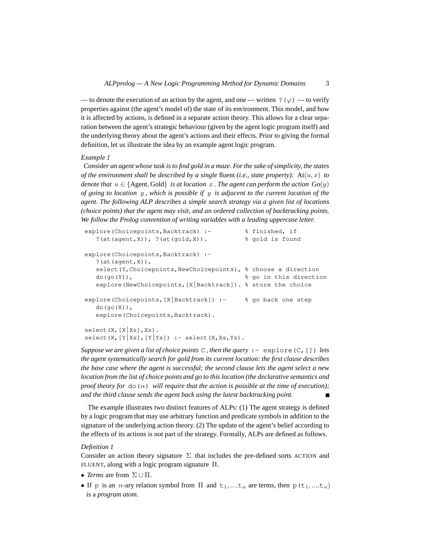— to denote the execution of an action by the agent, and one — written ? ( $\varphi$ ) — to verify properties against (the agent's model of) the state of its environment. This model, and how it is affected by actions, is defined in a separate action theory. This allows for a clear separation between the agent's strategic behaviour (given by the agent logic program itself) and the underlying theory about the agent's actions and their effects. Prior to giving the formal definition, let us illustrate the idea by an example agent logic program.

#### <span id="page-2-0"></span>*Example 1*

*Consider an agent whose task is to find gold in a maze. For the sake of simplicity, the states of the environment shall be described by a single fluent (i.e., state property):* At $(u, x)$  *to denote that*  $u \in \{$  Agent, Gold $\}$  *is at location* x. The agent can perform the action Go(y) *of going to location* y *, which is possible if* y *is adjacent to the current location of the agent. The following ALP describes a simple search strategy via a given list of locations (choice points) that the agent may visit, and an ordered collection of backtracking points. We follow the Prolog convention of writing variables with a leading uppercase letter.*

```
explore(Choicepoints,Backtrack) :- % finished, if
   ?(\text{at}(\text{agent},X)), ?(\text{at}(\text{gold},X)). % \text{gold} is found
explore(Choicepoints, Backtrack) :-
  ?(at(agent,X)),
  select(Y, Choicepoints, NewChoicepoints), % choose a direction
  do(go(Y)), % go in this direction
  explore(NewChoicepoints,[X|Backtrack]). % store the choice
explore(Choicepoints,[X|Backtrack]) :- % go back one step
  do(go(X)),
  explore(Choicepoints, Backtrack).
select(X,[X|Xs],Xs).
select(X,[Y|Xs],[Y|Ys]) :- select(X,Xs,Ys).
```
*Suppose we are given a list of choice points* C *, then the query* :- explore(C,[]) *lets the agent systematically search for gold from its current location: the first clause describes the base case where the agent is successful; the second clause lets the agent select a new location from the list of choice points and go to this location (the declarative semantics and proof theory for*  $d\rho(\alpha)$  *will require that the action is possible at the time of execution); and the third clause sends the agent back using the latest backtracking point.*

The example illustrates two distinct features of ALPs: (1) The agent strategy is defined by a logic program that may use arbitrary function and predicate symbols in addition to the signature of the underlying action theory. (2) The update of the agent's belief according to the effects of its actions is not part of the strategy. Formally, ALPs are defined as follows.

#### *Definition 1*

Consider an action theory signature  $\Sigma$  that includes the pre-defined sorts ACTION and FLUENT, along with a logic program signature Π.

- *Terms* are from  $\Sigma \cup \Pi$ .
- If p is an *n*-ary relation symbol from  $\Pi$  and  $t_1, ..., t_n$  are terms, then  $p(t_1, ..., t_n)$ is a *program atom*.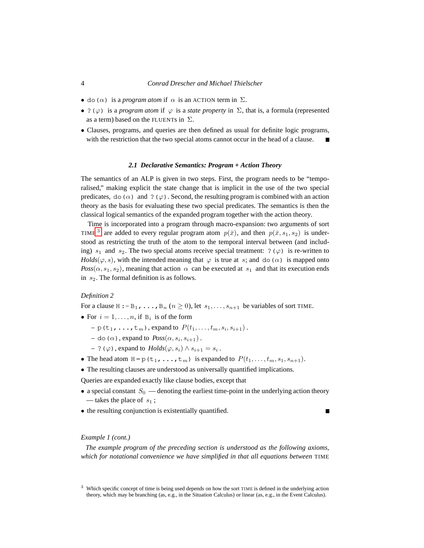- do( $\alpha$ ) is a *program atom* if  $\alpha$  is an ACTION term in  $\Sigma$ .
- ? ( $\varphi$ ) is a *program atom* if  $\varphi$  is a *state property* in  $\Sigma$ , that is, a formula (represented as a term) based on the FLUENTs in  $\Sigma$ .
- Clauses, programs, and queries are then defined as usual for definite logic programs, with the restriction that the two special atoms cannot occur in the head of a clause.

#### *2.1 Declarative Semantics: Program + Action Theory*

The semantics of an ALP is given in two steps. First, the program needs to be "temporalised," making explicit the state change that is implicit in the use of the two special predicates, do( $\alpha$ ) and ?( $\varphi$ ). Second, the resulting program is combined with an action theory as the basis for evaluating these two special predicates. The semantics is then the classical logical semantics of the expanded program together with the action theory.

Time is incorporated into a program through macro-expansion: two arguments of sort TIME <sup>[3](#page-3-0)</sup> are added to every regular program atom  $p(\bar{x})$ , and then  $p(\bar{x}, s_1, s_2)$  is understood as restricting the truth of the atom to the temporal interval between (and including)  $s_1$  and  $s_2$ . The two special atoms receive special treatment: ?( $\varphi$ ) is re-written to *Holds*( $\varphi$ , *s*), with the intended meaning that  $\varphi$  is true at *s*; and do( $\alpha$ ) is mapped onto  $Poss(\alpha, s_1, s_2)$ , meaning that action  $\alpha$  can be executed at  $s_1$  and that its execution ends in  $s_2$ . The formal definition is as follows.

#### *Definition 2*

For a clause H :  $-B_1$ , ...,  $B_n$   $(n \ge 0)$ , let  $s_1, \ldots, s_{n+1}$  be variables of sort TIME.

- For  $i = 1, \ldots, n$ , if  $B_i$  is of the form
	- $-$  p(t<sub>1</sub>, ..., t<sub>m</sub>), expand to  $P(t_1, \ldots, t_m, s_i, s_{i+1})$ .
	- $-$  do ( $\alpha$ ), expand to  $Poss(\alpha, s_i, s_{i+1})$ .
	- $-$  ? ( $\varphi$ ), expand to *Holds*( $\varphi$ ,  $s_i$ ) ∧  $s_{i+1} = s_i$ .
- The head atom  $H = p(t_1, \ldots, t_m)$  is expanded to  $P(t_1, \ldots, t_m, s_1, s_{n+1})$ .
- The resulting clauses are understood as universally quantified implications.

Queries are expanded exactly like clause bodies, except that

- a special constant  $S_0$  denoting the earliest time-point in the underlying action theory — takes the place of  $s_1$ ;
- the resulting conjunction is existentially quantified.

# *Example 1 (cont.)*

*The example program of the preceding section is understood as the following axioms, which for notational convenience we have simplified in that all equations between* TIME

<span id="page-3-0"></span><sup>&</sup>lt;sup>3</sup> Which specific concept of time is being used depends on how the sort TIME is defined in the underlying action theory, which may be branching (as, e.g., in the Situation Calculus) or linear (as, e.g., in the Event Calculus).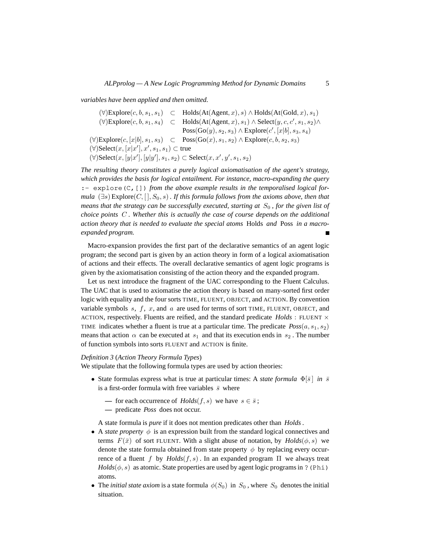*variables have been applied and then omitted.*

 $(\forall)$ Explore $(c, b, s_1, s_1) \subset$  Holds $(At(Agent, x), s) \wedge$ Holds $(At(Gold, x), s_1)$  $(\forall)$ Explore $(c, b, s_1, s_4) \subset$  Holds $(At(Agent, x), s_1) \wedge$  Select $(y, c, c', s_1, s_2) \wedge$  $Poss(Go(y), s_2, s_3) \wedge Explorer(c', [x|b], s_3, s_4)$  $(\forall)$ Explore $(c, [x|b], s_1, s_3) \subset \text{Poss}(\text{Go}(x), s_1, s_2) \wedge \text{Explore}(c, b, s_2, s_3)$  $(\forall)$ Select $(x, [x|x'], x', s_1, s_1) \subset$  true (∀)Select(x, [y|x'], [y|y'], s<sub>1</sub>, s<sub>2</sub>) ⊂ Select(x, x', y', s<sub>1</sub>, s<sub>2</sub>)

*The resulting theory constitutes a purely logical axiomatisation of the agent's strategy, which provides the basis for logical entailment. For instance, macro-expanding the query* :- explore (C, []) *from the above example results in the temporalised logical formula*  $(\exists s)$  Explore $(C, [\cdot], S_0, s)$ *. If this formula follows from the axioms above, then that means that the strategy can be successfully executed, starting at*  $S_0$ *, for the given list of choice points* C *. Whether this is actually the case of course depends on the additional action theory that is needed to evaluate the special atoms* Holds *and* Poss *in a macroexpanded program.*  $\blacksquare$ 

Macro-expansion provides the first part of the declarative semantics of an agent logic program; the second part is given by an action theory in form of a logical axiomatisation of actions and their effects. The overall declarative semantics of agent logic programs is given by the axiomatisation consisting of the action theory and the expanded program.

Let us next introduce the fragment of the UAC corresponding to the Fluent Calculus. The UAC that is used to axiomatise the action theory is based on many-sorted first order logic with equality and the four sorts TIME, FLUENT, OBJECT, and ACTION. By convention variable symbols  $s, f, x$ , and  $a$  are used for terms of sort TIME, FLUENT, OBJECT, and ACTION, respectively. Fluents are reified, and the standard predicate  $Holds: FLUENT \times$ TIME indicates whether a fluent is true at a particular time. The predicate  $Poss(a, s_1, s_2)$ means that action  $\alpha$  can be executed at  $s_1$  and that its execution ends in  $s_2$ . The number of function symbols into sorts FLUENT and ACTION is finite.

# <span id="page-4-0"></span>*Definition 3* (*Action Theory Formula Types*)

We stipulate that the following formula types are used by action theories:

- State formulas express what is true at particular times: A *state formula*  $\Phi[\bar{s}]$  *in*  $\bar{s}$ is a first-order formula with free variables  $\bar{s}$  where
	- for each occurrence of  $Holds(f, s)$  we have  $s \in \overline{s}$ ;
	- **—** predicate *Poss* does not occur.

A state formula is *pure* if it does not mention predicates other than *Holds*.

- A *state property*  $\phi$  is an expression built from the standard logical connectives and terms  $F(\bar{x})$  of sort FLUENT. With a slight abuse of notation, by  $Holds(\phi, s)$  we denote the state formula obtained from state property  $\phi$  by replacing every occurrence of a fluent f by  $Holds(f, s)$ . In an expanded program  $\Pi$  we always treat  $Holds(\phi, s)$  as atomic. State properties are used by agent logic programs in ? (Phi) atoms.
- The *initial state axiom* is a state formula  $\phi(S_0)$  in  $S_0$ , where  $S_0$  denotes the initial situation.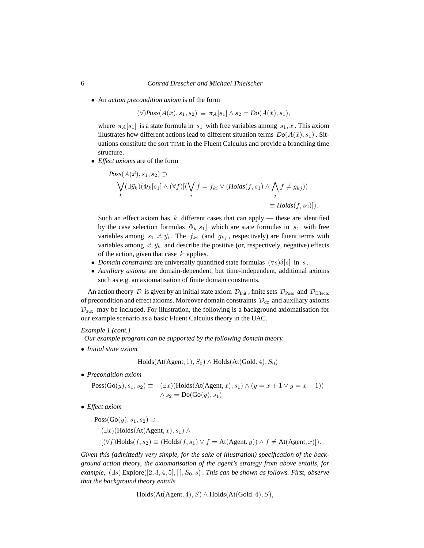• An *action precondition axiom* is of the form

 $(\forall)$ *Poss* $(A(\bar{x}), s_1, s_2) \equiv \pi_A[s_1] \wedge s_2 = Do(A(\bar{x}), s_1),$ 

where  $\pi_A[s_1]$  is a state formula in  $s_1$  with free variables among  $s_1, \bar{x}$ . This axiom illustrates how different actions lead to different situation terms  $Do(A(\bar{x}), s_1)$ . Situations constitute the sort TIME in the Fluent Calculus and provide a branching time structure.

• *Effect axioms* are of the form

$$
Poss(A(\vec{x}), s_1, s_2) \supset
$$
  
\n
$$
\bigvee_k (\exists \vec{y}_k)(\Phi_k[s_1] \land (\forall f)[(\bigvee_i f = f_{ki} \lor (Holds(f, s_1) \land \bigwedge_j f \neq g_{kj}))
$$
  
\n
$$
= Holds(f, s_2)]).
$$

Such an effect axiom has  $k$  different cases that can apply — these are identified by the case selection formulas  $\Phi_k[s_1]$  which are state formulas in  $s_1$  with free variables among  $s_1, \vec{x}, \vec{y}_i$ . The  $f_{ki}$  (and  $g_{kj}$ , respectively) are fluent terms with variables among  $\vec{x}, \vec{y}_k$  and describe the positive (or, respectively, negative) effects of the action, given that case  $k$  applies.

- *Domain constraints* are universally quantified state formulas  $(\forall s) \delta[s]$  in s.
- *Auxiliary axioms* are domain-dependent, but time-independent, additional axioms such as e.g. an axiomatisation of finite domain constraints.

An action theory D is given by an initial state axiom  $\mathcal{D}_{Init}$ , finite sets  $\mathcal{D}_{Poss}$  and  $\mathcal{D}_{Effects}$ of precondition and effect axioms. Moreover domain constraints  $\mathcal{D}_{dc}$  and auxiliary axioms  $\mathcal{D}_{\text{aux}}$  may be included. For illustration, the following is a background axiomatisation for our example scenario as a basic Fluent Calculus theory in the UAC.

# *Example 1 (cont.)*

*Our example program can be supported by the following domain theory.*

• *Initial state axiom*

 $Holds(At(Agent, 1), S_0) \wedge Holds(At(Gold, 4), S_0)$ 

• *Precondition axiom*

$$
Poss(Go(y), s_1, s_2) \equiv (\exists x)(\text{Holds}(\text{At}(\text{Agent}, x), s_1) \land (y = x + 1 \lor y = x - 1))
$$
  
 
$$
\land s_2 = Do(Go(y), s_1)
$$

• *Effect axiom*

 $Poss(Go(y), s_1, s_2) \supset$  $(\exists x)$ (Holds(At(Agent, x), s<sub>1</sub>) ∧  $[(\forall f) \text{Holds}(f, s_2) \equiv (\text{Holds}(f, s_1) \vee f = \text{At}(\text{Agent}, y)) \wedge f \neq \text{At}(\text{Agent}, x)].$ 

*Given this (admittedly very simple, for the sake of illustration) specification of the background action theory, the axiomatisation of the agent's strategy from above entails, for example,* (∃s) Explore([2, 3, 4, 5], [ ], S0, s) *. This can be shown as follows. First, observe that the background theory entails*

```
Holds(At(Agent, 4), S) \wedge Holds(At(Gold, 4), S),
```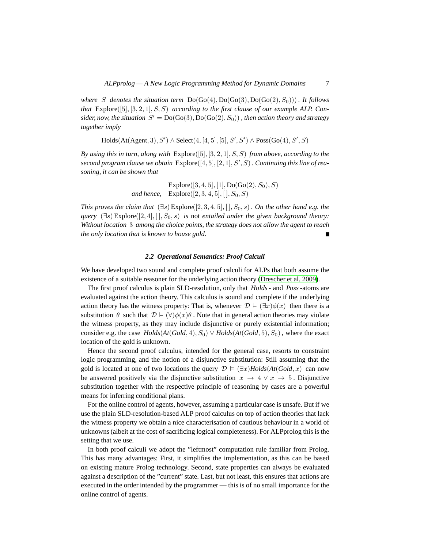*where* S denotes the situation term  $Do(Go(4), Do(Go(3), Do(Go(2), S_0)))$ . It follows *that* Explore([5], [3, 2, 1], S, S) *according to the first clause of our example ALP. Con*sider, now, the situation  $S' = Do(Go(3), Do(Go(2), S_0))$ , then action theory and strategy *together imply*

# $Holds(At(Agent, 3), S') \wedge Select(4, [4, 5], [5], S', S') \wedge Poss(Go(4), S', S)$

*By using this in turn, along with* Explore([5], [3, 2, 1], S, S) *from above, according to the* second program clause we obtain Explore([4, 5], [2, 1], S', S). Continuing this line of rea*soning, it can be shown that*

> Explore $([3, 4, 5], [1], Do(Go(2), S_0), S)$ *and hence,*  $\quad$  Explore $([2, 3, 4, 5], [[, S_0, S])$

*This proves the claim that*  $(\exists s)$  Explore $([2, 3, 4, 5], [[, S_0, s)]$ . On the other hand e.g. the *query*  $(\exists s)$  Explore $([2, 4], [ \cdot, S_0, s)$  *is not entailed under the given background theory: Without location* 3 *among the choice points, the strategy does not allow the agent to reach the only location that is known to house gold.*

#### *2.2 Operational Semantics: Proof Calculi*

We have developed two sound and complete proof calculi for ALPs that both assume the existence of a suitable reasoner for the underlying action theory [\(Drescher et al. 2009\)](#page-15-5).

The first proof calculus is plain SLD-resolution, only that *Holds*- and *Poss* -atoms are evaluated against the action theory. This calculus is sound and complete if the underlying action theory has the witness property: That is, whenever  $\mathcal{D} \models (\exists x) \phi(x)$  then there is a substitution  $\theta$  such that  $\mathcal{D} \models (\forall)\phi(x)\theta$ . Note that in general action theories may violate the witness property, as they may include disjunctive or purely existential information; consider e.g. the case  $Holds(At(Gold, 4), S_0) \lor Holds(At(Gold, 5), S_0)$ , where the exact location of the gold is unknown.

Hence the second proof calculus, intended for the general case, resorts to constraint logic programming, and the notion of a disjunctive substitution: Still assuming that the gold is located at one of two locations the query  $\mathcal{D} \models (\exists x)$ *Holds*( $At(Gold, x)$ ) can now be answered positively via the disjunctive substitution  $x \to 4 \vee x \to 5$ . Disjunctive substitution together with the respective principle of reasoning by cases are a powerful means for inferring conditional plans.

For the online control of agents, however, assuming a particular case is unsafe. But if we use the plain SLD-resolution-based ALP proof calculus on top of action theories that lack the witness property we obtain a nice characterisation of cautious behaviour in a world of unknowns (albeit at the cost of sacrificing logical completeness). For ALPprolog this is the setting that we use.

In both proof calculi we adopt the "leftmost" computation rule familiar from Prolog. This has many advantages: First, it simplifies the implementation, as this can be based on existing mature Prolog technology. Second, state properties can always be evaluated against a description of the "current" state. Last, but not least, this ensures that actions are executed in the order intended by the programmer — this is of no small importance for the online control of agents.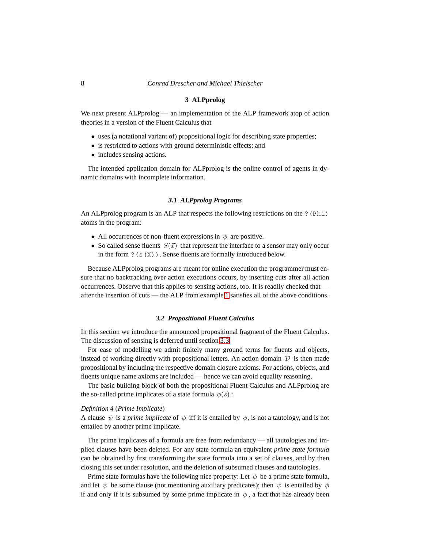#### **3 ALPprolog**

<span id="page-7-0"></span>We next present ALPprolog — an implementation of the ALP framework atop of action theories in a version of the Fluent Calculus that

- uses (a notational variant of) propositional logic for describing state properties;
- is restricted to actions with ground deterministic effects; and
- includes sensing actions.

The intended application domain for ALPprolog is the online control of agents in dynamic domains with incomplete information.

#### *3.1 ALPprolog Programs*

An ALPprolog program is an ALP that respects the following restrictions on the ? (Phi) atoms in the program:

- All occurrences of non-fluent expressions in  $\phi$  are positive.
- So called sense fluents  $S(\vec{x})$  that represent the interface to a sensor may only occur in the form ?(s(X)). Sense fluents are formally introduced below.

Because ALPprolog programs are meant for online execution the programmer must ensure that no backtracking over action executions occurs, by inserting cuts after all action occurrences. Observe that this applies to sensing actions, too. It is readily checked that after the insertion of cuts — the ALP from example [1](#page-2-0) satisfies all of the above conditions.

# *3.2 Propositional Fluent Calculus*

In this section we introduce the announced propositional fragment of the Fluent Calculus. The discussion of sensing is deferred until section [3.3.](#page-9-0)

For ease of modelling we admit finitely many ground terms for fluents and objects, instead of working directly with propositional letters. An action domain  $D$  is then made propositional by including the respective domain closure axioms. For actions, objects, and fluents unique name axioms are included — hence we can avoid equality reasoning.

The basic building block of both the propositional Fluent Calculus and ALPprolog are the so-called prime implicates of a state formula  $\phi(s)$ :

# *Definition 4* (*Prime Implicate*)

A clause  $\psi$  is a *prime implicate* of  $\phi$  iff it is entailed by  $\phi$ , is not a tautology, and is not entailed by another prime implicate.

The prime implicates of a formula are free from redundancy — all tautologies and implied clauses have been deleted. For any state formula an equivalent *prime state formula* can be obtained by first transforming the state formula into a set of clauses, and by then closing this set under resolution, and the deletion of subsumed clauses and tautologies.

Prime state formulas have the following nice property: Let  $\phi$  be a prime state formula, and let  $\psi$  be some clause (not mentioning auxiliary predicates); then  $\psi$  is entailed by  $\phi$ if and only if it is subsumed by some prime implicate in  $\phi$ , a fact that has already been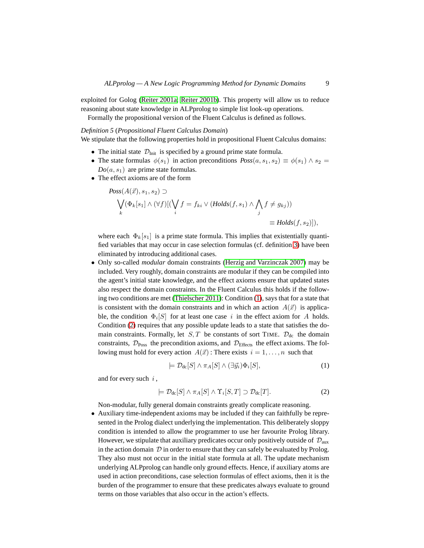exploited for Golog [\(Reiter 2001a;](#page-15-3) [Reiter 2001b\)](#page-15-10). This property will allow us to reduce reasoning about state knowledge in ALPprolog to simple list look-up operations.

Formally the propositional version of the Fluent Calculus is defined as follows.

### *Definition 5* (*Propositional Fluent Calculus Domain*)

We stipulate that the following properties hold in propositional Fluent Calculus domains:

- The initial state  $\mathcal{D}_{Init}$  is specified by a ground prime state formula.
- The state formulas  $\phi(s_1)$  in action preconditions  $Poss(a, s_1, s_2) \equiv \phi(s_1) \wedge s_2 =$  $Do(a, s<sub>1</sub>)$  are prime state formulas.
- The effect axioms are of the form

$$
Poss(A(\vec{x}), s_1, s_2) \supset
$$
  
\n
$$
\bigvee_k (\Phi_k[s_1] \wedge (\forall f)[(\bigvee_i f = f_{ki} \vee (Holds(f, s_1) \wedge \bigwedge_j f \neq g_{kj}))
$$
  
\n
$$
= Holds(f, s_2)]),
$$

where each  $\Phi_k[s_1]$  is a prime state formula. This implies that existentially quantified variables that may occur in case selection formulas (cf. definition [3\)](#page-4-0) have been eliminated by introducing additional cases.

• Only so-called *modular* domain constraints [\(Herzig and Varzinczak 2007\)](#page-15-11) may be included. Very roughly, domain constraints are modular if they can be compiled into the agent's initial state knowledge, and the effect axioms ensure that updated states also respect the domain constraints. In the Fluent Calculus this holds if the following two conditions are met [\(Thielscher 2011\)](#page-15-7): Condition [\(1\)](#page-8-0), says that for a state that is consistent with the domain constraints and in which an action  $A(\vec{x})$  is applicable, the condition  $\Phi_i[S]$  for at least one case i in the effect axiom for A holds. Condition [\(2\)](#page-8-1) requires that any possible update leads to a state that satisfies the domain constraints. Formally, let  $S, T$  be constants of sort TIME.  $\mathcal{D}_{dc}$  the domain constraints,  $\mathcal{D}_{Poss}$  the precondition axioms, and  $\mathcal{D}_{Effects}$  the effect axioms. The following must hold for every action  $A(\vec{x})$ : There exists  $i = 1, ..., n$  such that

<span id="page-8-0"></span>
$$
\models \mathcal{D}_{\text{dc}}[S] \land \pi_A[S] \land (\exists \vec{y}_i) \Phi_i[S], \tag{1}
$$

and for every such  $i$ ,

<span id="page-8-1"></span>
$$
\models \mathcal{D}_{\text{dc}}[S] \land \pi_A[S] \land \Upsilon_i[S,T] \supset \mathcal{D}_{\text{dc}}[T]. \tag{2}
$$

Non-modular, fully general domain constraints greatly complicate reasoning.

• Auxiliary time-independent axioms may be included if they can faithfully be represented in the Prolog dialect underlying the implementation. This deliberately sloppy condition is intended to allow the programmer to use her favourite Prolog library. However, we stipulate that auxiliary predicates occur only positively outside of  $\mathcal{D}_{aux}$ in the action domain  $D$  in order to ensure that they can safely be evaluated by Prolog. They also must not occur in the initial state formula at all. The update mechanism underlying ALPprolog can handle only ground effects. Hence, if auxiliary atoms are used in action preconditions, case selection formulas of effect axioms, then it is the burden of the programmer to ensure that these predicates always evaluate to ground terms on those variables that also occur in the action's effects.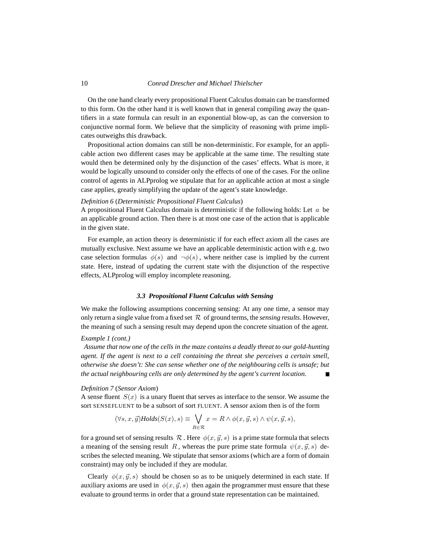On the one hand clearly every propositional Fluent Calculus domain can be transformed to this form. On the other hand it is well known that in general compiling away the quantifiers in a state formula can result in an exponential blow-up, as can the conversion to conjunctive normal form. We believe that the simplicity of reasoning with prime implicates outweighs this drawback.

Propositional action domains can still be non-deterministic. For example, for an applicable action two different cases may be applicable at the same time. The resulting state would then be determined only by the disjunction of the cases' effects. What is more, it would be logically unsound to consider only the effects of one of the cases. For the online control of agents in ALPprolog we stipulate that for an applicable action at most a single case applies, greatly simplifying the update of the agent's state knowledge.

# <span id="page-9-1"></span>*Definition 6* (*Deterministic Propositional Fluent Calculus*)

A propositional Fluent Calculus domain is deterministic if the following holds: Let  $a$  be an applicable ground action. Then there is at most one case of the action that is applicable in the given state.

For example, an action theory is deterministic if for each effect axiom all the cases are mutually exclusive. Next assume we have an applicable deterministic action with e.g. two case selection formulas  $\phi(s)$  and  $\neg \phi(s)$ , where neither case is implied by the current state. Here, instead of updating the current state with the disjunction of the respective effects, ALPprolog will employ incomplete reasoning.

# *3.3 Propositional Fluent Calculus with Sensing*

<span id="page-9-0"></span>We make the following assumptions concerning sensing: At any one time, a sensor may only return a single value from a fixed set  $R$  of ground terms, the *sensing results*. However, the meaning of such a sensing result may depend upon the concrete situation of the agent.

# *Example 1 (cont.)*

*Assume that now one of the cells in the maze contains a deadly threat to our gold-hunting agent. If the agent is next to a cell containing the threat she perceives a certain smell, otherwise she doesn't: She can sense whether one of the neighbouring cells is unsafe; but the actual neighbouring cells are only determined by the agent's current location.*

# <span id="page-9-2"></span>*Definition 7* (*Sensor Axiom*)

A sense fluent  $S(x)$  is a unary fluent that serves as interface to the sensor. We assume the sort SENSEFLUENT to be a subsort of sort FLUENT. A sensor axiom then is of the form

$$
(\forall s, x, \vec{y}) \text{Holds}(S(x), s) \equiv \bigvee_{R \in \mathcal{R}} x = R \land \phi(x, \vec{y}, s) \land \psi(x, \vec{y}, s),
$$

for a ground set of sensing results  $\mathcal R$ . Here  $\phi(x, \vec{y}, s)$  is a prime state formula that selects a meaning of the sensing result R, whereas the pure prime state formula  $\psi(x, \vec{y}, s)$  describes the selected meaning. We stipulate that sensor axioms (which are a form of domain constraint) may only be included if they are modular.

Clearly  $\phi(x, \vec{y}, s)$  should be chosen so as to be uniquely determined in each state. If auxiliary axioms are used in  $\phi(x, \vec{y}, s)$  then again the programmer must ensure that these evaluate to ground terms in order that a ground state representation can be maintained.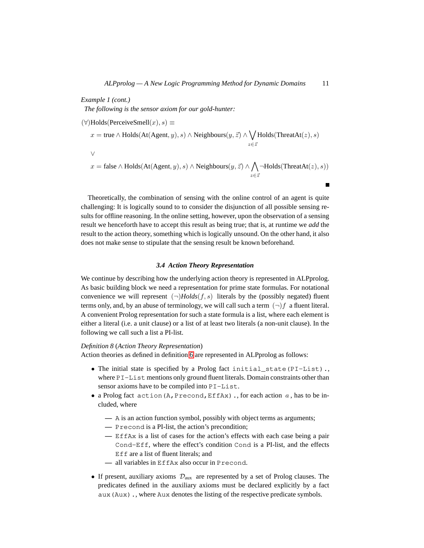*Example 1 (cont.) The following is the sensor axiom for our gold-hunter:*

 $(\forall)$ Holds(PerceiveSmell $(x), s$ )  $\equiv$  $x = \text{true} \wedge \text{Holds}(\text{At}(Agent, y), s) \wedge \text{Neighbors}(y, \vec{z}) \wedge \bigvee$  $z\in\bar{z}$  $Holds(ThreatAt(z), s)$ ∨  $x = \text{false} \land \text{Holds}(\text{At}(\text{Agent}, y), s) \land \text{Neighbors}(y, \vec{z}) \land \bigwedge$  $z\in\bar{z}$  $\neg$ Holds(ThreatAt(z), s))

Theoretically, the combination of sensing with the online control of an agent is quite challenging: It is logically sound to to consider the disjunction of all possible sensing results for offline reasoning. In the online setting, however, upon the observation of a sensing result we henceforth have to accept this result as being true; that is, at runtime we *add* the result to the action theory, something which is logically unsound. On the other hand, it also does not make sense to stipulate that the sensing result be known beforehand.

# *3.4 Action Theory Representation*

We continue by describing how the underlying action theory is represented in ALPprolog. As basic building block we need a representation for prime state formulas. For notational convenience we will represent  $(\neg)Holds(f, s)$  literals by the (possibly negated) fluent terms only, and, by an abuse of terminology, we will call such a term  $(\neg) f$  a fluent literal. A convenient Prolog representation for such a state formula is a list, where each element is either a literal (i.e. a unit clause) or a list of at least two literals (a non-unit clause). In the following we call such a list a PI-list.

# *Definition 8* (*Action Theory Representation*)

Action theories as defined in definition [6](#page-9-1) are represented in ALPprolog as follows:

- The initial state is specified by a Prolog fact initial\_state(PI-List)., where PI-List mentions only ground fluent literals. Domain constraints other than sensor axioms have to be compiled into PI-List.
- a Prolog fact action (A, Precond, EffAx)., for each action  $a$ , has to be included, where
	- **—** A is an action function symbol, possibly with object terms as arguments;
	- **—** Precond is a PI-list, the action's precondition;
	- **—** EffAx is a list of cases for the action's effects with each case being a pair Cond-Eff, where the effect's condition Cond is a PI-list, and the effects Eff are a list of fluent literals; and
	- **—** all variables in EffAx also occur in Precond.
- If present, auxiliary axioms  $\mathcal{D}_{aux}$  are represented by a set of Prolog clauses. The predicates defined in the auxiliary axioms must be declared explicitly by a fact aux(Aux)., where Aux denotes the listing of the respective predicate symbols.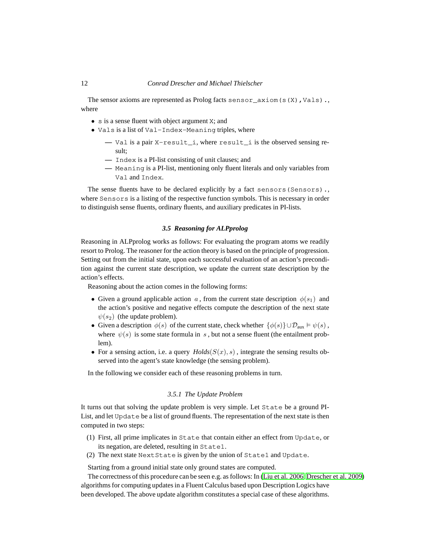The sensor axioms are represented as Prolog facts sensor\_axiom(s $(X)$ , Vals). where

- s is a sense fluent with object argument X; and
- Vals is a list of Val-Index-Meaning triples, where
	- **—** Val is a pair X-result\_i, where result\_i is the observed sensing result;
	- **—** Index is a PI-list consisting of unit clauses; and
	- **—** Meaning is a PI-list, mentioning only fluent literals and only variables from Val and Index.

The sense fluents have to be declared explicitly by a fact sensors(Sensors)., where Sensors is a listing of the respective function symbols. This is necessary in order to distinguish sense fluents, ordinary fluents, and auxiliary predicates in PI-lists.

# *3.5 Reasoning for ALPprolog*

Reasoning in ALPprolog works as follows: For evaluating the program atoms we readily resort to Prolog. The reasoner for the action theory is based on the principle of progression. Setting out from the initial state, upon each successful evaluation of an action's precondition against the current state description, we update the current state description by the action's effects.

Reasoning about the action comes in the following forms:

- Given a ground applicable action a, from the current state description  $\phi(s_1)$  and the action's positive and negative effects compute the description of the next state  $\psi(s_2)$  (the update problem).
- Given a description  $\phi(s)$  of the current state, check whether  $\{\phi(s)\}\cup \mathcal{D}_{aux} \models \psi(s)$ , where  $\psi(s)$  is some state formula in s, but not a sense fluent (the entailment problem).
- For a sensing action, i.e. a query  $Holds(S(x), s)$ , integrate the sensing results observed into the agent's state knowledge (the sensing problem).

In the following we consider each of these reasoning problems in turn.

#### *3.5.1 The Update Problem*

It turns out that solving the update problem is very simple. Let State be a ground PI-List, and let Update be a list of ground fluents. The representation of the next state is then computed in two steps:

- (1) First, all prime implicates in State that contain either an effect from Update, or its negation, are deleted, resulting in State1.
- (2) The next state NextState is given by the union of State1 and Update.

Starting from a ground initial state only ground states are computed.

The correctness of this procedure can be seen e.g. as follows: In [\(Liu et al. 2006;](#page-15-12) [Drescher et al. 2009\)](#page-14-1) algorithms for computing updates in a Fluent Calculus based upon Description Logics have been developed. The above update algorithm constitutes a special case of these algorithms.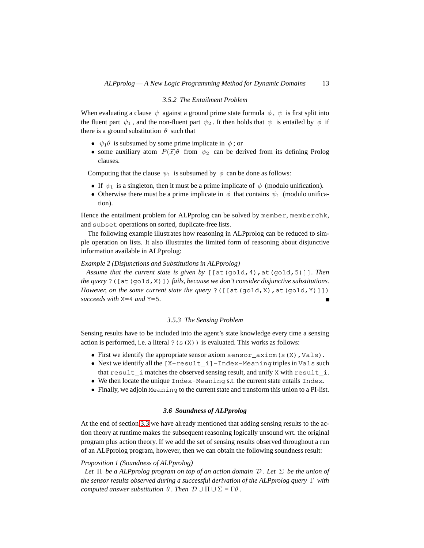#### *3.5.2 The Entailment Problem*

When evaluating a clause  $\psi$  against a ground prime state formula  $\phi$ ,  $\psi$  is first split into the fluent part  $\psi_1$ , and the non-fluent part  $\psi_2$ . It then holds that  $\psi$  is entailed by  $\phi$  if there is a ground substitution  $\theta$  such that

- $\psi_1 \theta$  is subsumed by some prime implicate in  $\phi$ ; or
- some auxiliary atom  $P(\vec{x})\theta$  from  $\psi_2$  can be derived from its defining Prolog clauses.

Computing that the clause  $\psi_1$  is subsumed by  $\phi$  can be done as follows:

- If  $\psi_1$  is a singleton, then it must be a prime implicate of  $\phi$  (modulo unification).
- Otherwise there must be a prime implicate in  $\phi$  that contains  $\psi_1$  (modulo unification).

Hence the entailment problem for ALPprolog can be solved by member, memberchk, and subset operations on sorted, duplicate-free lists.

The following example illustrates how reasoning in ALPprolog can be reduced to simple operation on lists. It also illustrates the limited form of reasoning about disjunctive information available in ALPprolog:

# *Example 2 (Disjunctions and Substitutions in ALPprolog)*

*Assume that the current state is given by* [[at(gold,4),at(gold,5)]]*. Then the query* ?([at(gold,X)]) *fails, because we don't consider disjunctive substitutions. However, on the same current state the query* ?( $\lceil \lceil \mathsf{at}(\mathsf{gold},X) \rceil, \mathsf{at}(\mathsf{gold},Y) \rceil \rceil$ ) *succeeds with* X=4 *and* Y=5*.*  $\blacksquare$ 

# *3.5.3 The Sensing Problem*

Sensing results have to be included into the agent's state knowledge every time a sensing action is performed, i.e. a literal  $?$  (s(X)) is evaluated. This works as follows:

- First we identify the appropriate sensor axiom sensor  $axiom(s(X),Vals)$ .
- Next we identify all the  $[X-result_i]$ -Index-Meaning triples in Vals such that result\_i matches the observed sensing result, and unify X with result\_i.
- We then locate the unique Index-Meaning s.t. the current state entails Index.
- Finally, we adjoin Meaning to the current state and transform this union to a PI-list.

# *3.6 Soundness of ALPprolog*

At the end of section [3.3](#page-9-0) we have already mentioned that adding sensing results to the action theory at runtime makes the subsequent reasoning logically unsound wrt. the original program plus action theory. If we add the set of sensing results observed throughout a run of an ALPprolog program, however, then we can obtain the following soundness result:

#### *Proposition 1 (Soundness of ALPprolog)*

*Let* Π *be a ALPprolog program on top of an action domain* D *. Let* Σ *be the union of the sensor results observed during a successful derivation of the ALPprolog query* Γ *with computed answer substitution*  $\theta$ *. Then*  $\mathcal{D} \cup \Pi \cup \Sigma \models \Gamma \theta$ *.*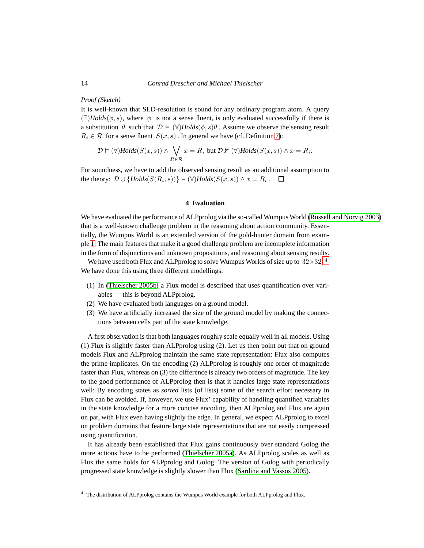#### *Proof (Sketch)*

It is well-known that SLD-resolution is sound for any ordinary program atom. A query  $(\exists)$ *Holds*( $\phi$ , s), where  $\phi$  is not a sense fluent, is only evaluated successfully if there is a substitution  $\theta$  such that  $\mathcal{D} \models (\forall)$ *Holds*( $\phi, s$ ) $\theta$ . Assume we observe the sensing result  $R_i \in \mathcal{R}$  for a sense fluent  $S(x, s)$ . In general we have (cf. Definition [7\)](#page-9-2):

$$
\mathcal{D} \vDash (\forall) \text{Holds}(S(x, s)) \land \bigvee_{R \in \mathcal{R}} x = R, \text{ but } \mathcal{D} \nvDash (\forall) \text{Holds}(S(x, s)) \land x = R_i.
$$

For soundness, we have to add the observed sensing result as an additional assumption to the theory:  $\mathcal{D} \cup \{Holds(S(R_i, s))\} \models (\forall) Holds(S(x, s)) \land x = R_i$ .

#### **4 Evaluation**

<span id="page-13-0"></span>We have evaluated the performance of ALPprolog via the so-called Wumpus World [\(Russell and Norvig 2003\)](#page-15-13) that is a well-known challenge problem in the reasoning about action community. Essentially, the Wumpus World is an extended version of the gold-hunter domain from example [1.](#page-2-0) The main features that make it a good challenge problem are incomplete information in the form of disjunctions and unknown propositions, and reasoning about sensing results.

We have used both Flux and ALPprolog to solve Wumpus Worlds of size up to  $32{\times}32.^{\,4}$  $32{\times}32.^{\,4}$  $32{\times}32.^{\,4}$ 

We have done this using three different modellings:

- (1) In [\(Thielscher 2005b\)](#page-15-14) a Flux model is described that uses quantification over variables — this is beyond ALPprolog.
- (2) We have evaluated both languages on a ground model.
- (3) We have artificially increased the size of the ground model by making the connections between cells part of the state knowledge.

A first observation is that both languages roughly scale equally well in all models. Using (1) Flux is slightly faster than ALPprolog using (2). Let us then point out that on ground models Flux and ALPprolog maintain the same state representation: Flux also computes the prime implicates. On the encoding (2) ALPprolog is roughly one order of magnitude faster than Flux, whereas on (3) the difference is already two orders of magnitude. The key to the good performance of ALPprolog then is that it handles large state representations well: By encoding states as *sorted* lists (of lists) some of the search effort necessary in Flux can be avoided. If, however, we use Flux' capability of handling quantified variables in the state knowledge for a more concise encoding, then ALPprolog and Flux are again on par, with Flux even having slightly the edge. In general, we expect ALPprolog to excel on problem domains that feature large state representations that are not easily compressed using quantification.

It has already been established that Flux gains continuously over standard Golog the more actions have to be performed [\(Thielscher 2005a\)](#page-15-1). As ALPprolog scales as well as Flux the same holds for ALPprolog and Golog. The version of Golog with periodically progressed state knowledge is slightly slower than Flux [\(Sardina and Vassos 2005\)](#page-15-9).

<span id="page-13-1"></span><sup>4</sup> The distribution of ALPprolog contains the Wumpus World example for both ALPprolog and Flux.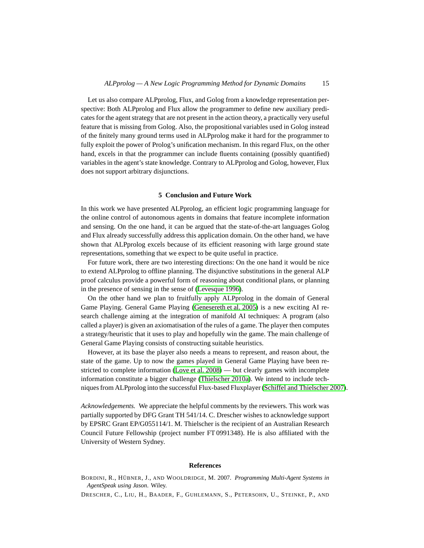Let us also compare ALPprolog, Flux, and Golog from a knowledge representation perspective: Both ALPprolog and Flux allow the programmer to define new auxiliary predicates for the agent strategy that are not present in the action theory, a practically very useful feature that is missing from Golog. Also, the propositional variables used in Golog instead of the finitely many ground terms used in ALPprolog make it hard for the programmer to fully exploit the power of Prolog's unification mechanism. In this regard Flux, on the other hand, excels in that the programmer can include fluents containing (possibly quantified) variables in the agent's state knowledge. Contrary to ALPprolog and Golog, however, Flux does not support arbitrary disjunctions.

#### **5 Conclusion and Future Work**

<span id="page-14-2"></span>In this work we have presented ALPprolog, an efficient logic programming language for the online control of autonomous agents in domains that feature incomplete information and sensing. On the one hand, it can be argued that the state-of-the-art languages Golog and Flux already successfully address this application domain. On the other hand, we have shown that ALPprolog excels because of its efficient reasoning with large ground state representations, something that we expect to be quite useful in practice.

For future work, there are two interesting directions: On the one hand it would be nice to extend ALPprolog to offline planning. The disjunctive substitutions in the general ALP proof calculus provide a powerful form of reasoning about conditional plans, or planning in the presence of sensing in the sense of (Levesque 1996).

On the other hand we plan to fruitfully apply ALPprolog in the domain of General Game Playing. General Game Playing (Genesereth et al. 2005) is a new exciting AI research challenge aiming at the integration of manifold AI techniques: A program (also called a player) is given an axiomatisation of the rules of a game. The player then computes a strategy/heuristic that it uses to play and hopefully win the game. The main challenge of General Game Playing consists of constructing suitable heuristics.

However, at its base the player also needs a means to represent, and reason about, the state of the game. Up to now the games played in General Game Playing have been restricted to complete information [\(Love et al. 2008\)](#page-15-15) — but clearly games with incomplete information constitute a bigger challenge [\(Thielscher 2010a\)](#page-15-16). We intend to include techniques from ALPprolog into the successful Flux-based Fluxplayer [\(Schiffel and Thielscher 2007\)](#page-15-17).

*Acknowledgements.* We appreciate the helpful comments by the reviewers. This work was partially supported by DFG Grant TH 541/14. C. Drescher wishes to acknowledge support by EPSRC Grant EP/G055114/1. M. Thielscher is the recipient of an Australian Research Council Future Fellowship (project number FT 0991348). He is also affiliated with the University of Western Sydney.

#### **References**

- <span id="page-14-0"></span>BORDINI, R., HÜBNER, J., AND WOOLDRIDGE, M. 2007. Programming Multi-Agent Systems in *AgentSpeak using Jason*. Wiley.
- <span id="page-14-1"></span>DRESCHER, C., LIU, H., BAADER, F., GUHLEMANN, S., PETERSOHN, U., STEINKE, P., AND